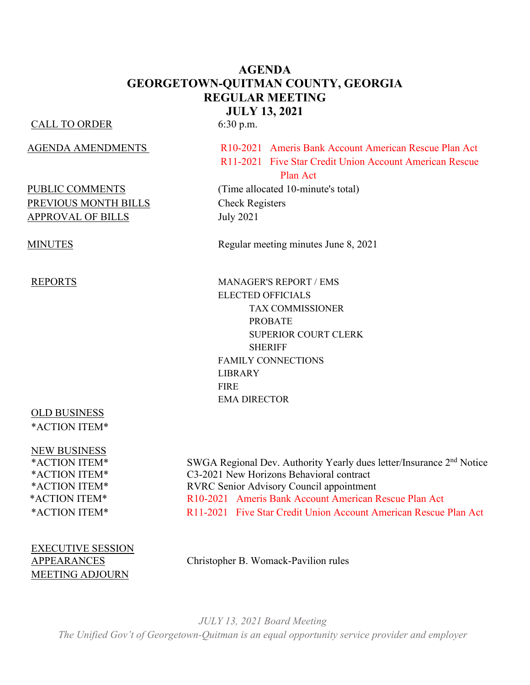# **AGENDA GEORGETOWN-QUITMAN COUNTY, GEORGIA REGULAR MEETING JULY 13, 2021**

#### CALL TO ORDER 6:30 p.m.

# PREVIOUS MONTH BILLS Check Registers APPROVAL OF BILLS July 2021

# OLD BUSINESS \*ACTION ITEM\*

NEW BUSINESS

EXECUTIVE SESSION MEETING ADJOURN

AGENDA AMENDMENTS R10-2021 Ameris Bank Account American Rescue Plan Act R11-2021 Five Star Credit Union Account American Rescue **Plan Act Plan Act** 

PUBLIC COMMENTS (Time allocated 10-minute's total)

MINUTES Regular meeting minutes June 8, 2021

REPORTS MANAGER'S REPORT / EMS ELECTED OFFICIALS TAX COMMISSIONER PROBATE SUPERIOR COURT CLERK **SHERIFF** FAMILY CONNECTIONS LIBRARY FIRE EMA DIRECTOR

\*ACTION ITEM\* SWGA Regional Dev. Authority Yearly dues letter/Insurance 2nd Notice \*ACTION ITEM\* C3-2021 New Horizons Behavioral contract \*ACTION ITEM\* RVRC Senior Advisory Council appointment \*ACTION ITEM\* R10-2021 Ameris Bank Account American Rescue Plan Act \*ACTION ITEM\* R11-2021 Five Star Credit Union Account American Rescue Plan Act

APPEARANCES Christopher B. Womack-Pavilion rules

*JULY 13, 2021 Board Meeting The Unified Gov't of Georgetown-Quitman is an equal opportunity service provider and employer*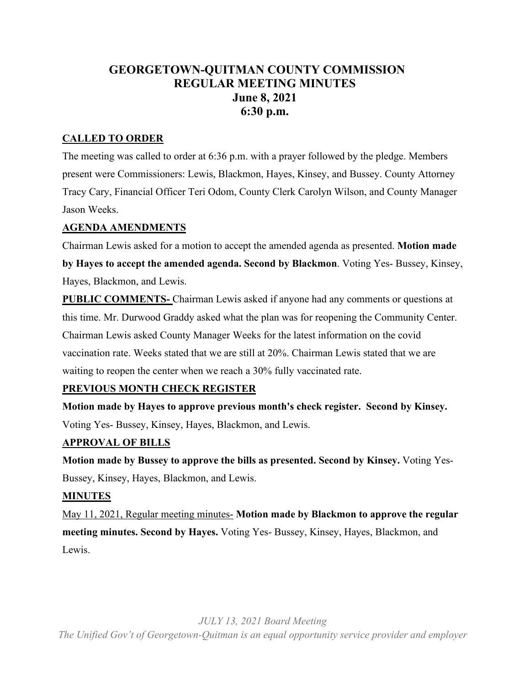# **GEORGETOWN-QUITMAN COUNTY COMMISSION REGULAR MEETING MINUTES June 8, 2021 6:30 p.m.**

## **CALLED TO ORDER**

The meeting was called to order at 6:36 p.m. with a prayer followed by the pledge. Members present were Commissioners: Lewis, Blackmon, Hayes, Kinsey, and Bussey. County Attorney Tracy Cary, Financial Officer Teri Odom, County Clerk Carolyn Wilson, and County Manager Jason Weeks.

## **AGENDA AMENDMENTS**

Chairman Lewis asked for a motion to accept the amended agenda as presented. **Motion made by Hayes to accept the amended agenda. Second by Blackmon**. Voting Yes- Bussey, Kinsey, Hayes, Blackmon, and Lewis.

**PUBLIC COMMENTS-** Chairman Lewis asked if anyone had any comments or questions at this time. Mr. Durwood Graddy asked what the plan was for reopening the Community Center. Chairman Lewis asked County Manager Weeks for the latest information on the covid vaccination rate. Weeks stated that we are still at 20%. Chairman Lewis stated that we are waiting to reopen the center when we reach a 30% fully vaccinated rate.

## **PREVIOUS MONTH CHECK REGISTER**

**Motion made by Hayes to approve previous month's check register. Second by Kinsey.** Voting Yes- Bussey, Kinsey, Hayes, Blackmon, and Lewis.

## **APPROVAL OF BILLS**

**Motion made by Bussey to approve the bills as presented. Second by Kinsey.** Voting Yes-Bussey, Kinsey, Hayes, Blackmon, and Lewis.

#### **MINUTES**

May 11, 2021, Regular meeting minutes- **Motion made by Blackmon to approve the regular meeting minutes. Second by Hayes.** Voting Yes- Bussey, Kinsey, Hayes, Blackmon, and Lewis.

*JULY 13, 2021 Board Meeting*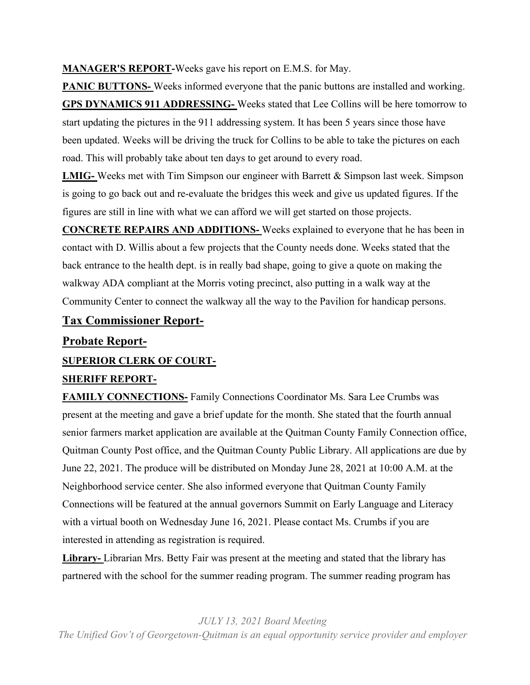**MANAGER'S REPORT-**Weeks gave his report on E.M.S. for May.

**PANIC BUTTONS-** Weeks informed everyone that the panic buttons are installed and working. **GPS DYNAMICS 911 ADDRESSING-** Weeks stated that Lee Collins will be here tomorrow to start updating the pictures in the 911 addressing system. It has been 5 years since those have been updated. Weeks will be driving the truck for Collins to be able to take the pictures on each road. This will probably take about ten days to get around to every road.

**LMIG-** Weeks met with Tim Simpson our engineer with Barrett & Simpson last week. Simpson is going to go back out and re-evaluate the bridges this week and give us updated figures. If the figures are still in line with what we can afford we will get started on those projects.

**CONCRETE REPAIRS AND ADDITIONS-** Weeks explained to everyone that he has been in contact with D. Willis about a few projects that the County needs done. Weeks stated that the back entrance to the health dept. is in really bad shape, going to give a quote on making the walkway ADA compliant at the Morris voting precinct, also putting in a walk way at the Community Center to connect the walkway all the way to the Pavilion for handicap persons.

# **Tax Commissioner Report-**

# **Probate Report-**

# **SUPERIOR CLERK OF COURT-**

# **SHERIFF REPORT-**

**FAMILY CONNECTIONS-** Family Connections Coordinator Ms. Sara Lee Crumbs was present at the meeting and gave a brief update for the month. She stated that the fourth annual senior farmers market application are available at the Quitman County Family Connection office, Quitman County Post office, and the Quitman County Public Library. All applications are due by June 22, 2021. The produce will be distributed on Monday June 28, 2021 at 10:00 A.M. at the Neighborhood service center. She also informed everyone that Quitman County Family Connections will be featured at the annual governors Summit on Early Language and Literacy with a virtual booth on Wednesday June 16, 2021. Please contact Ms. Crumbs if you are interested in attending as registration is required.

**Library-** Librarian Mrs. Betty Fair was present at the meeting and stated that the library has partnered with the school for the summer reading program. The summer reading program has

*JULY 13, 2021 Board Meeting*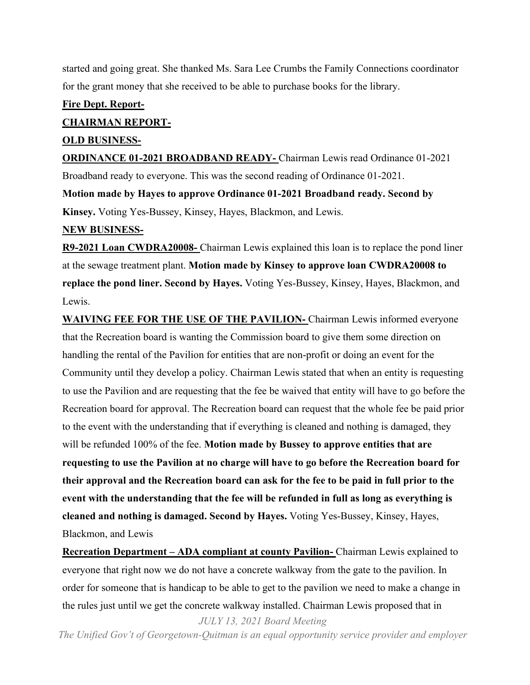started and going great. She thanked Ms. Sara Lee Crumbs the Family Connections coordinator for the grant money that she received to be able to purchase books for the library.

#### **Fire Dept. Report-**

#### **CHAIRMAN REPORT-**

#### **OLD BUSINESS-**

**ORDINANCE 01-2021 BROADBAND READY-** Chairman Lewis read Ordinance 01-2021 Broadband ready to everyone. This was the second reading of Ordinance 01-2021.

**Motion made by Hayes to approve Ordinance 01-2021 Broadband ready. Second by Kinsey.** Voting Yes-Bussey, Kinsey, Hayes, Blackmon, and Lewis.

#### **NEW BUSINESS-**

**R9-2021 Loan CWDRA20008-** Chairman Lewis explained this loan is to replace the pond liner at the sewage treatment plant. **Motion made by Kinsey to approve loan CWDRA20008 to replace the pond liner. Second by Hayes.** Voting Yes-Bussey, Kinsey, Hayes, Blackmon, and Lewis.

**WAIVING FEE FOR THE USE OF THE PAVILION-** Chairman Lewis informed everyone that the Recreation board is wanting the Commission board to give them some direction on handling the rental of the Pavilion for entities that are non-profit or doing an event for the Community until they develop a policy. Chairman Lewis stated that when an entity is requesting to use the Pavilion and are requesting that the fee be waived that entity will have to go before the Recreation board for approval. The Recreation board can request that the whole fee be paid prior to the event with the understanding that if everything is cleaned and nothing is damaged, they will be refunded 100% of the fee. **Motion made by Bussey to approve entities that are requesting to use the Pavilion at no charge will have to go before the Recreation board for their approval and the Recreation board can ask for the fee to be paid in full prior to the event with the understanding that the fee will be refunded in full as long as everything is cleaned and nothing is damaged. Second by Hayes.** Voting Yes-Bussey, Kinsey, Hayes, Blackmon, and Lewis

**Recreation Department – ADA compliant at county Pavilion-** Chairman Lewis explained to everyone that right now we do not have a concrete walkway from the gate to the pavilion. In order for someone that is handicap to be able to get to the pavilion we need to make a change in the rules just until we get the concrete walkway installed. Chairman Lewis proposed that in

*JULY 13, 2021 Board Meeting*